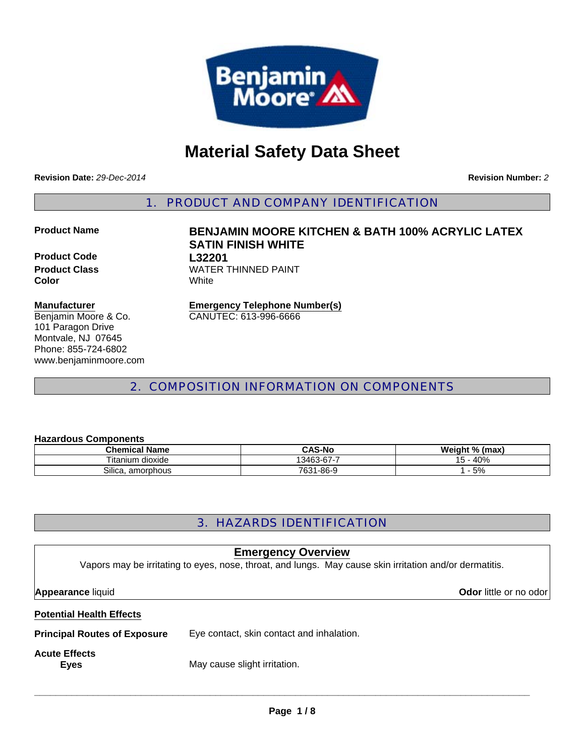

# **Material Safety Data Sheet**

**Revision Date:** *29-Dec-2014*

**Revision Number:** *2*

1. PRODUCT AND COMPANY IDENTIFICATION

**Product Code L32201 Color** White

# **Product Name BENJAMIN MOORE KITCHEN & BATH 100% ACRYLIC LATEX SATIN FINISH WHITE Product Class WATER THINNED PAINT**

#### **Manufacturer**

Benjamin Moore & Co. 101 Paragon Drive Montvale, NJ 07645 Phone: 855-724-6802 www.benjaminmoore.com

**Emergency Telephone Number(s)** CANUTEC: 613-996-6666

# 2. COMPOSITION INFORMATION ON COMPONENTS

#### **Hazardous Components**

| <b>Chemical Name</b>   | <b>CAS-No</b>    | Weight % (max) |
|------------------------|------------------|----------------|
| Titanium dioxide       | $13463 - 67 - 7$ | 40%            |
| Silica.<br>, amorphous | 7631-86-9        | 5%             |

# 3. HAZARDS IDENTIFICATION

# **Emergency Overview**

Vapors may be irritating to eyes, nose, throat, and lungs. May cause skin irritation and/or dermatitis.

**Appearance** liquid **Odor** little or no odor

#### **Potential Health Effects**

**Principal Routes of Exposure** Eye contact, skin contact and inhalation.

# **Acute Effects**

**Eyes** May cause slight irritation.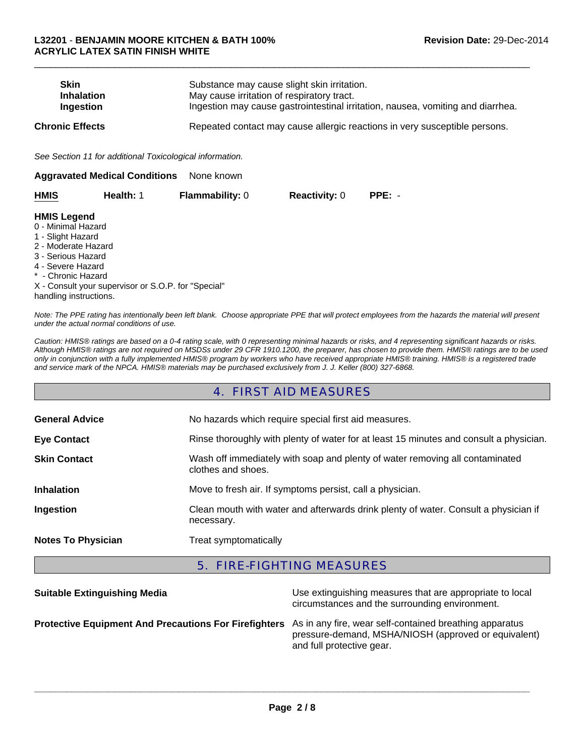| <b>Skin</b><br><b>Inhalation</b><br>Ingestion                                                                                                                                   |                                                          | Substance may cause slight skin irritation.<br>May cause irritation of respiratory tract.<br>Ingestion may cause gastrointestinal irritation, nausea, vomiting and diarrhea. |                      |          |  |  |
|---------------------------------------------------------------------------------------------------------------------------------------------------------------------------------|----------------------------------------------------------|------------------------------------------------------------------------------------------------------------------------------------------------------------------------------|----------------------|----------|--|--|
| <b>Chronic Effects</b>                                                                                                                                                          |                                                          | Repeated contact may cause allergic reactions in very susceptible persons.                                                                                                   |                      |          |  |  |
|                                                                                                                                                                                 | See Section 11 for additional Toxicological information. |                                                                                                                                                                              |                      |          |  |  |
|                                                                                                                                                                                 | <b>Aggravated Medical Conditions</b>                     | None known                                                                                                                                                                   |                      |          |  |  |
| HMIS                                                                                                                                                                            | Health: 1                                                | <b>Flammability: 0</b>                                                                                                                                                       | <b>Reactivity: 0</b> | $PPE: -$ |  |  |
| <b>HMIS Legend</b><br>0 - Minimal Hazard<br>1 - Slight Hazard<br>2 - Moderate Hazard<br>3 - Serious Hazard<br>4 - Severe Hazard<br>* - Chronic Hazard<br>handling instructions. | X - Consult your supervisor or S.O.P. for "Special"      |                                                                                                                                                                              |                      |          |  |  |

 $\Box$ 

*Note: The PPE rating has intentionally been left blank. Choose appropriate PPE that will protect employees from the hazards the material will present under the actual normal conditions of use.*

*Caution: HMIS® ratings are based on a 0-4 rating scale, with 0 representing minimal hazards or risks, and 4 representing significant hazards or risks. Although HMIS® ratings are not required on MSDSs under 29 CFR 1910.1200, the preparer, has chosen to provide them. HMIS® ratings are to be used only in conjunction with a fully implemented HMIS® program by workers who have received appropriate HMIS® training. HMIS® is a registered trade and service mark of the NPCA. HMIS® materials may be purchased exclusively from J. J. Keller (800) 327-6868.*

#### 4. FIRST AID MEASURES

| <b>General Advice</b>     | No hazards which require special first aid measures.                                               |
|---------------------------|----------------------------------------------------------------------------------------------------|
| <b>Eye Contact</b>        | Rinse thoroughly with plenty of water for at least 15 minutes and consult a physician.             |
| <b>Skin Contact</b>       | Wash off immediately with soap and plenty of water removing all contaminated<br>clothes and shoes. |
| <b>Inhalation</b>         | Move to fresh air. If symptoms persist, call a physician.                                          |
| Ingestion                 | Clean mouth with water and afterwards drink plenty of water. Consult a physician if<br>necessary.  |
| <b>Notes To Physician</b> | Treat symptomatically                                                                              |

### 5. FIRE-FIGHTING MEASURES

| <b>Suitable Extinguishing Media</b>                                                                                  | Use extinguishing measures that are appropriate to local<br>circumstances and the surrounding environment. |
|----------------------------------------------------------------------------------------------------------------------|------------------------------------------------------------------------------------------------------------|
| <b>Protective Equipment And Precautions For Firefighters</b> As in any fire, wear self-contained breathing apparatus | pressure-demand, MSHA/NIOSH (approved or equivalent)<br>and full protective gear.                          |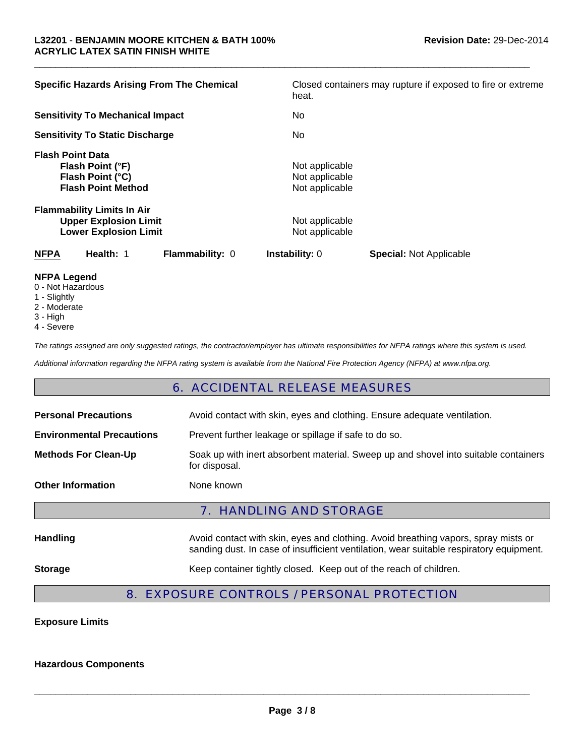| Flash Point (°C)<br><b>Flash Point Method</b><br><b>Flammability Limits In Air</b> | Not applicable<br>Not applicable |
|------------------------------------------------------------------------------------|----------------------------------|
| <b>Upper Explosion Limit</b>                                                       | Not applicable                   |
| <b>Lower Explosion Limit</b>                                                       | Not applicable                   |

 $\Box$ 

#### **NFPA Legend**

- 0 Not Hazardous
- 1 Slightly
- 2 Moderate
- 3 High
- 4 Severe

*The ratings assigned are only suggested ratings, the contractor/employer has ultimate responsibilities for NFPA ratings where this system is used.*

*Additional information regarding the NFPA rating system is available from the National Fire Protection Agency (NFPA) at www.nfpa.org.*

### 6. ACCIDENTAL RELEASE MEASURES

| <b>Personal Precautions</b>      | Avoid contact with skin, eyes and clothing. Ensure adequate ventilation.                                                                                                      |  |  |
|----------------------------------|-------------------------------------------------------------------------------------------------------------------------------------------------------------------------------|--|--|
| <b>Environmental Precautions</b> | Prevent further leakage or spillage if safe to do so.                                                                                                                         |  |  |
| <b>Methods For Clean-Up</b>      | Soak up with inert absorbent material. Sweep up and shovel into suitable containers<br>for disposal.                                                                          |  |  |
| <b>Other Information</b>         | None known                                                                                                                                                                    |  |  |
| <b>7. HANDLING AND STORAGE</b>   |                                                                                                                                                                               |  |  |
| <b>Handling</b>                  | Avoid contact with skin, eyes and clothing. Avoid breathing vapors, spray mists or<br>sanding dust. In case of insufficient ventilation, wear suitable respiratory equipment. |  |  |
| <b>Storage</b>                   | Keep container tightly closed. Keep out of the reach of children.                                                                                                             |  |  |

# 8. EXPOSURE CONTROLS / PERSONAL PROTECTION

### **Exposure Limits**

#### **Hazardous Components**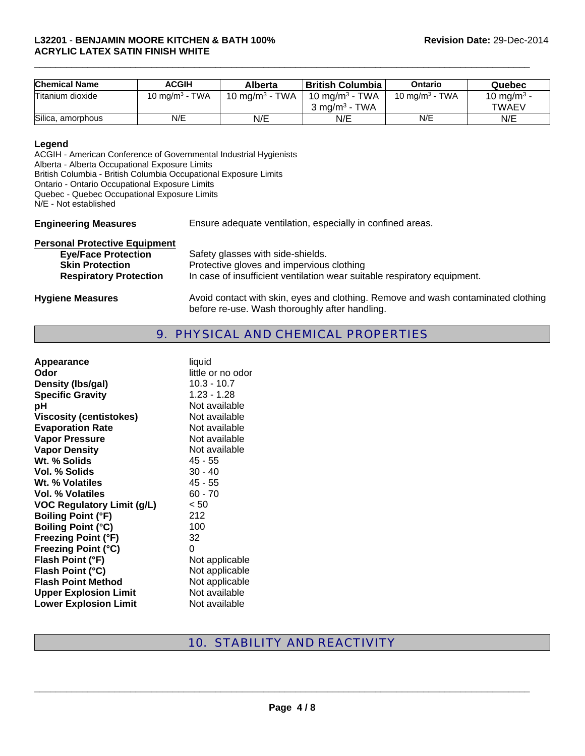| <b>Chemical Name</b> | ACGIH                      | Alberta           | l British Columbia                                     | Ontario                    | Quebec                                 |
|----------------------|----------------------------|-------------------|--------------------------------------------------------|----------------------------|----------------------------------------|
| Titanium dioxide     | 10 mg/m <sup>3</sup> - TWA | 10 mg/m $3$ - TWA | 10 mg/m <sup>3</sup> - TWA<br>$3 \text{ ma/m}^3$ - TWA | 10 mg/m <sup>3</sup> - TWA | 10 mg/m <sup>3</sup> ·<br><b>TWAEV</b> |
| Silica, amorphous    | N/E                        | N/E               | N/E                                                    | N/E                        | N/E                                    |

 $\Box$ 

#### **Legend**

ACGIH - American Conference of Governmental Industrial Hygienists Alberta - Alberta Occupational Exposure Limits British Columbia - British Columbia Occupational Exposure Limits Ontario - Ontario Occupational Exposure Limits Quebec - Quebec Occupational Exposure Limits N/E - Not established **Engineering Measures** Ensure adequate ventilation, especially in confined areas. **Personal Protective Equipment Eve/Face Protection** Safety glasses with side-shields. **Skin Protection**<br> **Respiratory Protection** In case of insufficient ventilation wear suite<br> **Respiratory Protection** In case of insufficient ventilation wear suite In case of insufficient ventilation wear suitable respiratory equipment. Hygiene Measures **Axoid contact with skin, eyes and clothing. Remove and wash contaminated clothing** 

## 9. PHYSICAL AND CHEMICAL PROPERTIES

before re-use. Wash thoroughly after handling.

| Appearance                        | liquid            |
|-----------------------------------|-------------------|
| Odor                              | little or no odor |
| Density (Ibs/gal)                 | $10.3 - 10.7$     |
| <b>Specific Gravity</b>           | $1.23 - 1.28$     |
| рH                                | Not available     |
| <b>Viscosity (centistokes)</b>    | Not available     |
| <b>Evaporation Rate</b>           | Not available     |
| <b>Vapor Pressure</b>             | Not available     |
| <b>Vapor Density</b>              | Not available     |
| Wt. % Solids                      | $45 - 55$         |
| Vol. % Solids                     | $30 - 40$         |
| Wt. % Volatiles                   | $45 - 55$         |
| Vol. % Volatiles                  | $60 - 70$         |
| <b>VOC Regulatory Limit (g/L)</b> | < 50              |
| <b>Boiling Point (°F)</b>         | 212               |
| <b>Boiling Point (°C)</b>         | 100               |
| <b>Freezing Point (°F)</b>        | 32                |
| <b>Freezing Point (°C)</b>        | 0                 |
| Flash Point (°F)                  | Not applicable    |
| Flash Point (°C)                  | Not applicable    |
| <b>Flash Point Method</b>         | Not applicable    |
| <b>Upper Explosion Limit</b>      | Not available     |
| <b>Lower Explosion Limit</b>      | Not available     |
|                                   |                   |

# 10. STABILITY AND REACTIVITY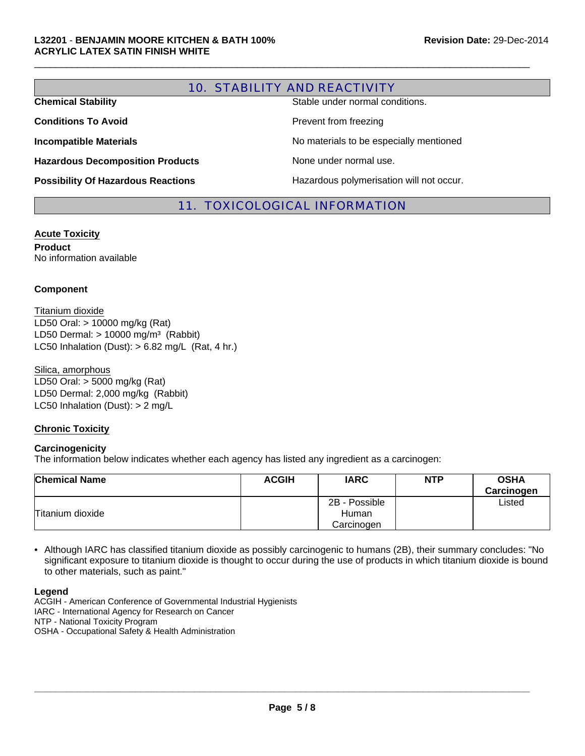# 10. STABILITY AND REACTIVITY **Chemical Stability Stable under normal conditions. Conditions To Avoid Prevent from freezing Incompatible Materials No materials** No materials to be especially mentioned **Hazardous Decomposition Products** None under normal use. **Possibility Of Hazardous Reactions Hazardous polymerisation will not occur.**

 $\Box$ 

## 11. TOXICOLOGICAL INFORMATION

**Acute Toxicity Product** No information available

#### **Component**

Titanium dioxide LC50 Inhalation (Dust):  $> 6.82$  mg/L (Rat, 4 hr.) LD50 Oral: > 10000 mg/kg (Rat) LD50 Dermal:  $> 10000$  mg/m<sup>3</sup> (Rabbit)

LC50 Inhalation (Dust): > 2 mg/L Silica, amorphous LD50 Oral: > 5000 mg/kg (Rat) LD50 Dermal: 2,000 mg/kg (Rabbit)

#### **Chronic Toxicity**

#### **Carcinogenicity**

The information below indicates whether each agency has listed any ingredient as a carcinogen:

| <b>Chemical Name</b> | <b>ACGIH</b> | <b>IARC</b>   | <b>NTP</b> | <b>OSHA</b><br>Carcinogen |
|----------------------|--------------|---------------|------------|---------------------------|
|                      |              | 2B - Possible |            | Listed                    |
| Titanium dioxide     |              | Human         |            |                           |
|                      |              | Carcinogen    |            |                           |

• Although IARC has classified titanium dioxide as possibly carcinogenic to humans (2B), their summary concludes: "No significant exposure to titanium dioxide is thought to occur during the use of products in which titanium dioxide is bound to other materials, such as paint."

#### **Legend**

ACGIH - American Conference of Governmental Industrial Hygienists IARC - International Agency for Research on Cancer NTP - National Toxicity Program OSHA - Occupational Safety & Health Administration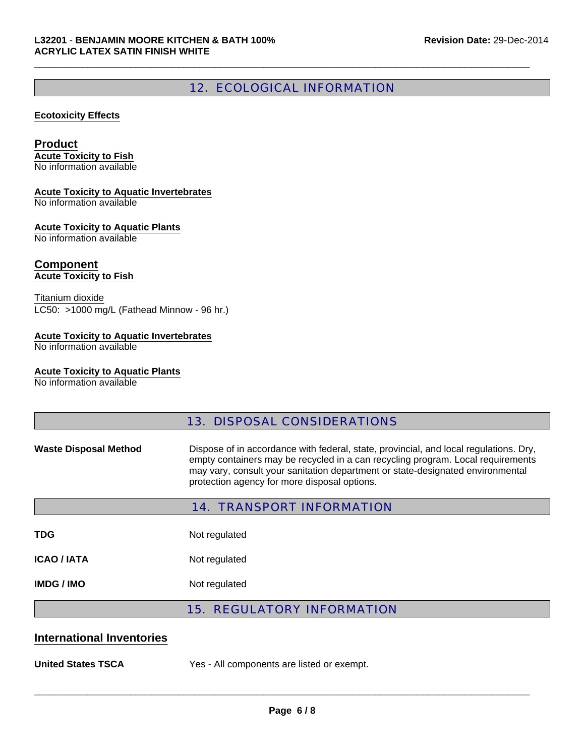# 12. ECOLOGICAL INFORMATION

 $\Box$ 

#### **Ecotoxicity Effects**

#### **Product**

**Acute Toxicity to Fish** No information available

#### **Acute Toxicity to Aquatic Invertebrates**

No information available

#### **Acute Toxicity to Aquatic Plants**

No information available

# **Component**

**Acute Toxicity to Fish**

Titanium dioxide LC50: >1000 mg/L (Fathead Minnow - 96 hr.)

#### **Acute Toxicity to Aquatic Invertebrates**

No information available

#### **Acute Toxicity to Aquatic Plants**

No information available

## 13. DISPOSAL CONSIDERATIONS

Waste Disposal Method **Dispose of in accordance with federal**, state, provincial, and local regulations. Dry, empty containers may be recycled in a can recycling program. Local requirements may vary, consult your sanitation department or state-designated environmental protection agency for more disposal options.

|             | <b>14. TRANSPORT INFORMATION</b>  |  |
|-------------|-----------------------------------|--|
| <b>TDG</b>  | Not regulated                     |  |
| ICAO / IATA | Not regulated                     |  |
| IMDG / IMO  | Not regulated                     |  |
|             | <b>15. REGULATORY INFORMATION</b> |  |

#### **International Inventories**

**United States TSCA** Yes - All components are listed or exempt.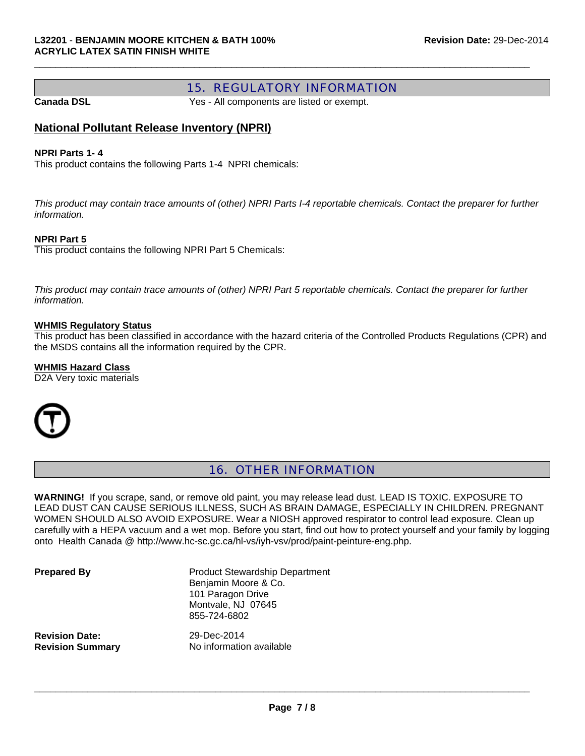## 15. REGULATORY INFORMATION

**Canada DSL** Yes - All components are listed or exempt.

 $\Box$ 

### **National Pollutant Release Inventory (NPRI)**

#### **NPRI Parts 1- 4**

This product contains the following Parts 1-4 NPRI chemicals:

*This product may contain trace amounts of (other) NPRI Parts I-4 reportable chemicals. Contact the preparer for further information.*

#### **NPRI Part 5**

This product contains the following NPRI Part 5 Chemicals:

*This product may contain trace amounts of (other) NPRI Part 5 reportable chemicals. Contact the preparer for further information.*

#### **WHMIS Regulatory Status**

This product has been classified in accordance with the hazard criteria of the Controlled Products Regulations (CPR) and the MSDS contains all the information required by the CPR.

#### **WHMIS Hazard Class**

D2A Very toxic materials



## 16. OTHER INFORMATION

**WARNING!** If you scrape, sand, or remove old paint, you may release lead dust. LEAD IS TOXIC. EXPOSURE TO LEAD DUST CAN CAUSE SERIOUS ILLNESS, SUCH AS BRAIN DAMAGE, ESPECIALLY IN CHILDREN. PREGNANT WOMEN SHOULD ALSO AVOID EXPOSURE. Wear a NIOSH approved respirator to control lead exposure. Clean up carefully with a HEPA vacuum and a wet mop. Before you start, find out how to protect yourself and your family by logging onto Health Canada @ http://www.hc-sc.gc.ca/hl-vs/iyh-vsv/prod/paint-peinture-eng.php.

**Prepared By** Product Stewardship Department Benjamin Moore & Co. 101 Paragon Drive Montvale, NJ 07645 855-724-6802

**Revision Date:** 29-Dec-2014

**Revision Summary** No information available